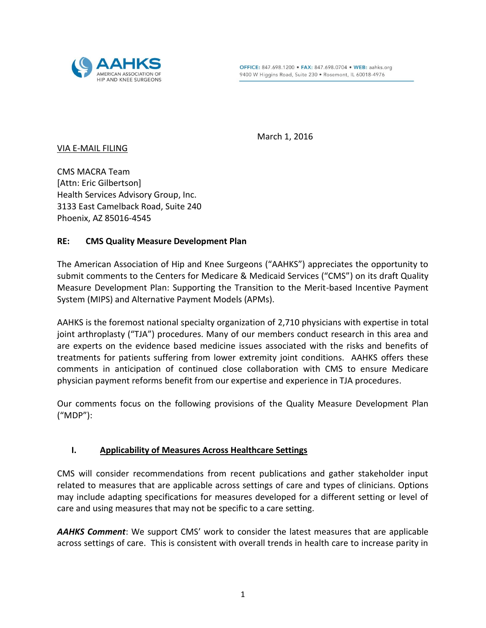

March 1, 2016

VIA E-MAIL FILING

CMS MACRA Team [Attn: Eric Gilbertson]

Health Services Advisory Group, Inc. 3133 East Camelback Road, Suite 240 Phoenix, AZ 85016-4545

# **RE: CMS Quality Measure Development Plan**

The American Association of Hip and Knee Surgeons ("AAHKS") appreciates the opportunity to submit comments to the Centers for Medicare & Medicaid Services ("CMS") on its draft Quality Measure Development Plan: Supporting the Transition to the Merit-based Incentive Payment System (MIPS) and Alternative Payment Models (APMs).

AAHKS is the foremost national specialty organization of 2,710 physicians with expertise in total joint arthroplasty ("TJA") procedures. Many of our members conduct research in this area and are experts on the evidence based medicine issues associated with the risks and benefits of treatments for patients suffering from lower extremity joint conditions. AAHKS offers these comments in anticipation of continued close collaboration with CMS to ensure Medicare physician payment reforms benefit from our expertise and experience in TJA procedures.

Our comments focus on the following provisions of the Quality Measure Development Plan ("MDP"):

## **I. Applicability of Measures Across Healthcare Settings**

CMS will consider recommendations from recent publications and gather stakeholder input related to measures that are applicable across settings of care and types of clinicians. Options may include adapting specifications for measures developed for a different setting or level of care and using measures that may not be specific to a care setting.

*AAHKS Comment*: We support CMS' work to consider the latest measures that are applicable across settings of care. This is consistent with overall trends in health care to increase parity in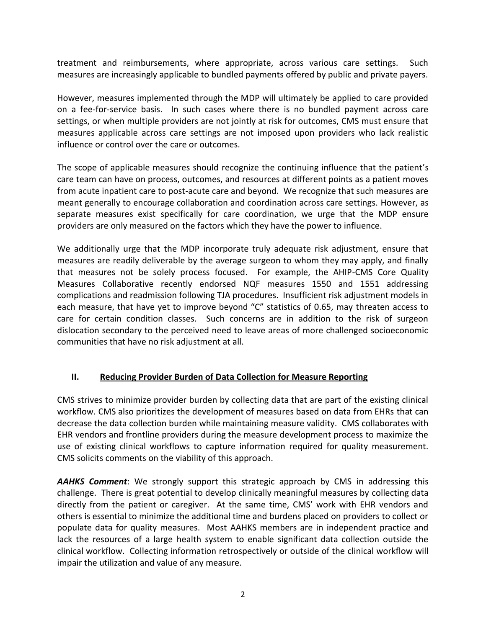treatment and reimbursements, where appropriate, across various care settings. Such measures are increasingly applicable to bundled payments offered by public and private payers.

However, measures implemented through the MDP will ultimately be applied to care provided on a fee-for-service basis. In such cases where there is no bundled payment across care settings, or when multiple providers are not jointly at risk for outcomes, CMS must ensure that measures applicable across care settings are not imposed upon providers who lack realistic influence or control over the care or outcomes.

The scope of applicable measures should recognize the continuing influence that the patient's care team can have on process, outcomes, and resources at different points as a patient moves from acute inpatient care to post-acute care and beyond. We recognize that such measures are meant generally to encourage collaboration and coordination across care settings. However, as separate measures exist specifically for care coordination, we urge that the MDP ensure providers are only measured on the factors which they have the power to influence.

We additionally urge that the MDP incorporate truly adequate risk adjustment, ensure that measures are readily deliverable by the average surgeon to whom they may apply, and finally that measures not be solely process focused. For example, the AHIP-CMS Core Quality Measures Collaborative recently endorsed NQF measures 1550 and 1551 addressing complications and readmission following TJA procedures. Insufficient risk adjustment models in each measure, that have yet to improve beyond "C" statistics of 0.65, may threaten access to care for certain condition classes. Such concerns are in addition to the risk of surgeon dislocation secondary to the perceived need to leave areas of more challenged socioeconomic communities that have no risk adjustment at all.

# **II. Reducing Provider Burden of Data Collection for Measure Reporting**

CMS strives to minimize provider burden by collecting data that are part of the existing clinical workflow. CMS also prioritizes the development of measures based on data from EHRs that can decrease the data collection burden while maintaining measure validity. CMS collaborates with EHR vendors and frontline providers during the measure development process to maximize the use of existing clinical workflows to capture information required for quality measurement. CMS solicits comments on the viability of this approach.

*AAHKS Comment*: We strongly support this strategic approach by CMS in addressing this challenge. There is great potential to develop clinically meaningful measures by collecting data directly from the patient or caregiver. At the same time, CMS' work with EHR vendors and others is essential to minimize the additional time and burdens placed on providers to collect or populate data for quality measures. Most AAHKS members are in independent practice and lack the resources of a large health system to enable significant data collection outside the clinical workflow. Collecting information retrospectively or outside of the clinical workflow will impair the utilization and value of any measure.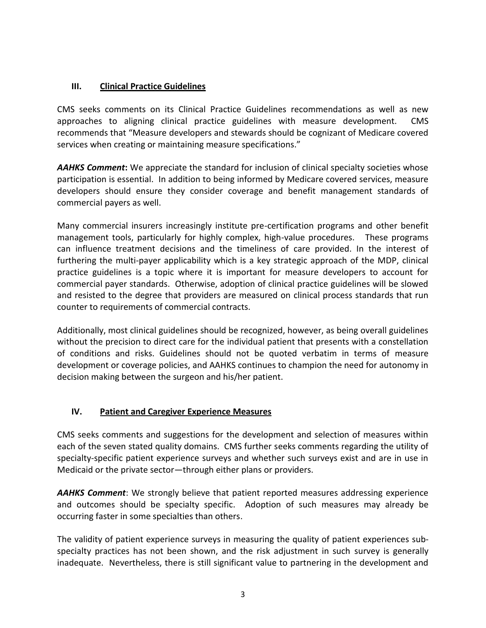## **III. Clinical Practice Guidelines**

CMS seeks comments on its Clinical Practice Guidelines recommendations as well as new approaches to aligning clinical practice guidelines with measure development. CMS recommends that "Measure developers and stewards should be cognizant of Medicare covered services when creating or maintaining measure specifications."

*AAHKS Comment***:** We appreciate the standard for inclusion of clinical specialty societies whose participation is essential. In addition to being informed by Medicare covered services, measure developers should ensure they consider coverage and benefit management standards of commercial payers as well.

Many commercial insurers increasingly institute pre-certification programs and other benefit management tools, particularly for highly complex, high-value procedures. These programs can influence treatment decisions and the timeliness of care provided. In the interest of furthering the multi-payer applicability which is a key strategic approach of the MDP, clinical practice guidelines is a topic where it is important for measure developers to account for commercial payer standards. Otherwise, adoption of clinical practice guidelines will be slowed and resisted to the degree that providers are measured on clinical process standards that run counter to requirements of commercial contracts.

Additionally, most clinical guidelines should be recognized, however, as being overall guidelines without the precision to direct care for the individual patient that presents with a constellation of conditions and risks. Guidelines should not be quoted verbatim in terms of measure development or coverage policies, and AAHKS continues to champion the need for autonomy in decision making between the surgeon and his/her patient.

## **IV. Patient and Caregiver Experience Measures**

CMS seeks comments and suggestions for the development and selection of measures within each of the seven stated quality domains. CMS further seeks comments regarding the utility of specialty-specific patient experience surveys and whether such surveys exist and are in use in Medicaid or the private sector—through either plans or providers.

*AAHKS Comment*: We strongly believe that patient reported measures addressing experience and outcomes should be specialty specific. Adoption of such measures may already be occurring faster in some specialties than others.

The validity of patient experience surveys in measuring the quality of patient experiences subspecialty practices has not been shown, and the risk adjustment in such survey is generally inadequate. Nevertheless, there is still significant value to partnering in the development and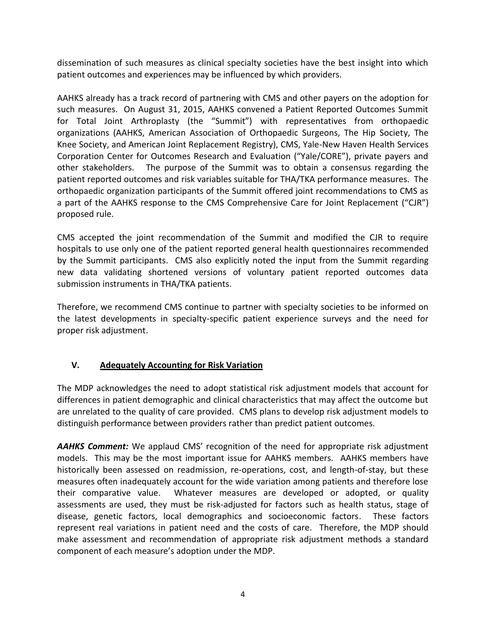dissemination of such measures as clinical specialty societies have the best insight into which patient outcomes and experiences may be influenced by which providers.

AAHKS already has a track record of partnering with CMS and other payers on the adoption for such measures. On August 31, 2015, AAHKS convened a Patient Reported Outcomes Summit for Total Joint Arthroplasty (the "Summit") with representatives from orthopaedic organizations (AAHKS, American Association of Orthopaedic Surgeons, The Hip Society, The Knee Society, and American Joint Replacement Registry), CMS, Yale-New Haven Health Services Corporation Center for Outcomes Research and Evaluation ("Yale/CORE"), private payers and other stakeholders. The purpose of the Summit was to obtain a consensus regarding the patient reported outcomes and risk variables suitable for THA/TKA performance measures. The orthopaedic organization participants of the Summit offered joint recommendations to CMS as a part of the AAHKS response to the CMS Comprehensive Care for Joint Replacement ("CJR") proposed rule.

CMS accepted the joint recommendation of the Summit and modified the CJR to require hospitals to use only one of the patient reported general health questionnaires recommended by the Summit participants. CMS also explicitly noted the input from the Summit regarding new data validating shortened versions of voluntary patient reported outcomes data submission instruments in THA/TKA patients.

Therefore, we recommend CMS continue to partner with specialty societies to be informed on the latest developments in specialty-specific patient experience surveys and the need for proper risk adjustment.

## **V. Adequately Accounting for Risk Variation**

The MDP acknowledges the need to adopt statistical risk adjustment models that account for differences in patient demographic and clinical characteristics that may affect the outcome but are unrelated to the quality of care provided. CMS plans to develop risk adjustment models to distinguish performance between providers rather than predict patient outcomes.

*AAHKS Comment:* We applaud CMS' recognition of the need for appropriate risk adjustment models. This may be the most important issue for AAHKS members. AAHKS members have historically been assessed on readmission, re-operations, cost, and length-of-stay, but these measures often inadequately account for the wide variation among patients and therefore lose their comparative value. Whatever measures are developed or adopted, or quality assessments are used, they must be risk-adjusted for factors such as health status, stage of disease, genetic factors, local demographics and socioeconomic factors. These factors represent real variations in patient need and the costs of care. Therefore, the MDP should make assessment and recommendation of appropriate risk adjustment methods a standard component of each measure's adoption under the MDP.